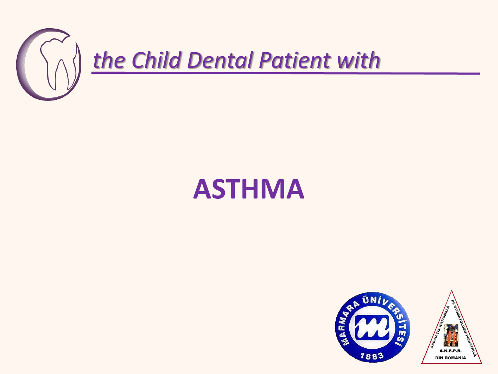

## **ASTHMA**

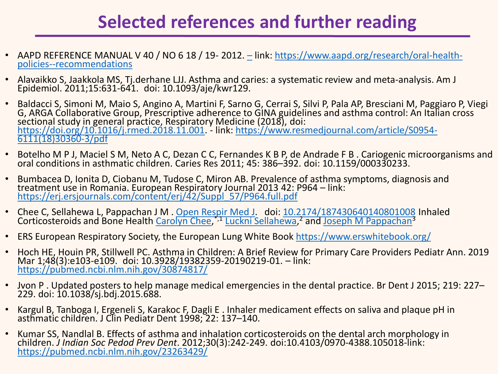## **Selected references and further reading**

- AAPD REFERENCE MANUAL V 40 / NO 6 18 / 19- 2012. [–](about:blank) [link: https://www.aapd.org/research/oral-health](about:blank)policies--recommendations
- Alavaikko S, Jaakkola MS, Tj.derhane LJJ. Asthma and caries: a systematic review and meta-analysis. Am J Epidemiol. 2011;15:631‐641. doi: 10.1093/aje/kwr129.
- Baldacci S, Simoni M, Maio S, Angino A, Martini F, Sarno G, Cerrai S, Silvi P, Pala AP, Bresciani M, Paggiaro P, Viegi G, ARGA Collaborative Group, Prescriptive adherence to GINA guidelines and asthma control: An Italian cross sectional study in general practice, Respiratory Medicine (2018), doi: [https://doi.org/10.1016/j.rmed.2018.11.001](about:blank). - [link: https://www.resmedjournal.com/article/S0954-](about:blank) 6111(18)30360-3/pdf
- Botelho M P J, Maciel S M, Neto A C, Dezan C C, Fernandes K B P, de Andrade F B . Cariogenic microorganisms and oral conditions in asthmatic children. Caries Res 2011; 45: 386–392. doi: 10.1159/000330233.
- Bumbacea D, Ionita D, Ciobanu M, Tudose C, Miron AB. Prevalence of asthma symptoms, diagnosis and treatment use in Romania. European Respiratory Journal 2013 42: P964 – link: [https://erj.ersjournals.com/content/erj/42/Suppl\\_57/P964.full.pdf](about:blank)
- Chee C, Sellahewa L, Pappachan J M . [Open Respir Med J.](about:blank) doi: [10.2174/187430640140801008](about:blank) Inhaled Corticosteroids and Bone Health [Carolyn Chee,](about:blank)<sup>\*,1</sup> [Luckni Sellahewa](about:blank),<sup>2</sup> and [Joseph M Pappachan](about:blank)<sup>3</sup>
- ERS European Respiratory Society, the European Lung White Book [https://www.erswhitebook.org/](about:blank)
- Hoch HE, Houin PR, Stillwell PC. Asthma in Children: A Brief Review for Primary Care Providers Pediatr Ann. 2019 Mar 1;48(3):e103-e109. doi: 10.3928/19382359-20190219-01. – link: <https://pubmed.ncbi.nlm.nih.gov/30874817/>
- Jvon P . Updated posters to help manage medical emergencies in the dental practice. Br Dent J 2015; 219: 227– 229. doi: 10.1038/sj.bdj.2015.688.
- Kargul B, Tanboga I, Ergeneli S, Karakoc F, Dagli E . Inhaler medicament effects on saliva and plaque pH in asthmatic children. J Clin Pediatr Dent 1998; 22: 137–140.
- Kumar SS, Nandlal B. Effects of asthma and inhalation corticosteroids on the dental arch morphology in children. *J Indian Soc Pedod Prev Dent*. 2012;30(3):242-249. doi:10.4103/0970-4388.105018-link: [https://pubmed.ncbi.nlm.nih.gov/23263429/](about:blank)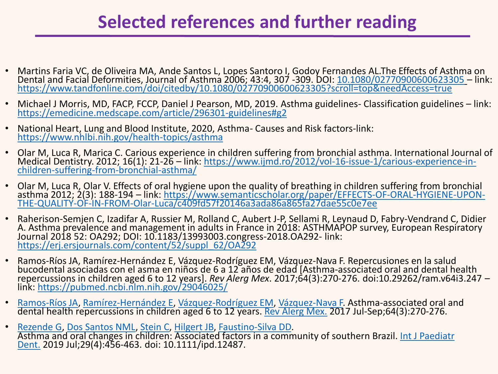## **Selected references and further reading**

- Martins Faria VC, de Oliveira MA, Ande Santos L, Lopes Santoro I, Godoy Fernandes AL.The Effects of Asthma on Dental and Facial Deformities, Journal of Asthma 2006; 43:4, 307 -309. DOI: <u>[10.1080/02770900600623305](about:blank)</u> – link: [https://www.tandfonline.com/doi/citedby/10.1080/02770900600623305?scroll=top&needAccess=true](about:blank)
- Michael J Morris, MD, FACP, FCCP, Daniel J Pearson, MD, 2019. Asthma guidelines- Classification guidelines link: [https://emedicine.medscape.com/article/296301-guidelines#g2](about:blank)
- National Heart, Lung and Blood Institute, 2020, Asthma- Causes and Risk factors-link: [https://www.nhlbi.nih.gov/health-topics/asthma](about:blank)
- Olar M, Luca R, Marica C. Carious experience in children suffering from bronchial asthma. International Journal of Medical Dentistry. 2012; 16(1): 21-26 – [link: https://www.ijmd.ro/2012/vol-16-issue-1/carious-experience-in](about:blank)children-suffering-from-bronchial-asthma/
- Olar M, Luca R, Olar V. Effects of oral hygiene upon the quality of breathing in children suffering from bronchial asthma 2012; 2(3): 188-194 – [link: https://www.semanticscholar.org/paper/EFFECTS-OF-ORAL-HYGIENE-UPON-](about:blank)THE-QUALITY-OF-IN-FROM-Olar-Luca/c409fd57f20146a3ada86a865fa27dae55c0e7ee
- Raherison-Semjen C, Izadifar A, Russier M, Rolland C, Aubert J-P, Sellami R, Leynaud D, Fabry-Vendrand C, Didier A. Asthma prevalence and management in adults in France in 2018: ASTHMAPOP survey, European Respiratory Journal 2018 52: OA292; DOI: 10.1183/13993003.congress-2018.OA292- link: [https://erj.ersjournals.com/content/52/suppl\\_62/OA292](about:blank)
- Ramos-Ríos JA, Ramírez-Hernández E, Vázquez-Rodríguez EM, Vázquez-Nava F. Repercusiones en la salud bucodental asociadas con el asma en niños de 6 a 12 años de edad [Asthma-associated oral and dental health repercussions in children aged 6 to 12 years]. *Rev Alerg Mex*. 2017;64(3):270-276. doi:10.29262/ram.v64i3.247 – link: [https://pubmed.ncbi.nlm.nih.gov/29046025/](about:blank)
- [Ramos-Ríos JA,](about:blank) [Ramírez-Hernández E](about:blank), [Vázquez-Rodríguez EM](about:blank), [Vázquez-Nava F.](about:blank) Asthma-associated oral and dental health repercussions in children aged 6 to 12 years. [Rev Alerg](about:blank) Mex. 2017 Jul-Sep;64(3):270-276.
- [Rezende G,](about:blank) [Dos Santos NML,](about:blank) [Stein C,](about:blank) [Hilgert JB,](about:blank) [Faustino-Silva DD](about:blank). Asthma and oral changes in children: Associated factors in a community of southern Brazil. Int J Paediatr Dent. [2019 Jul;29\(4\):456-463. doi: 10.1111/ipd.12487.](about:blank)